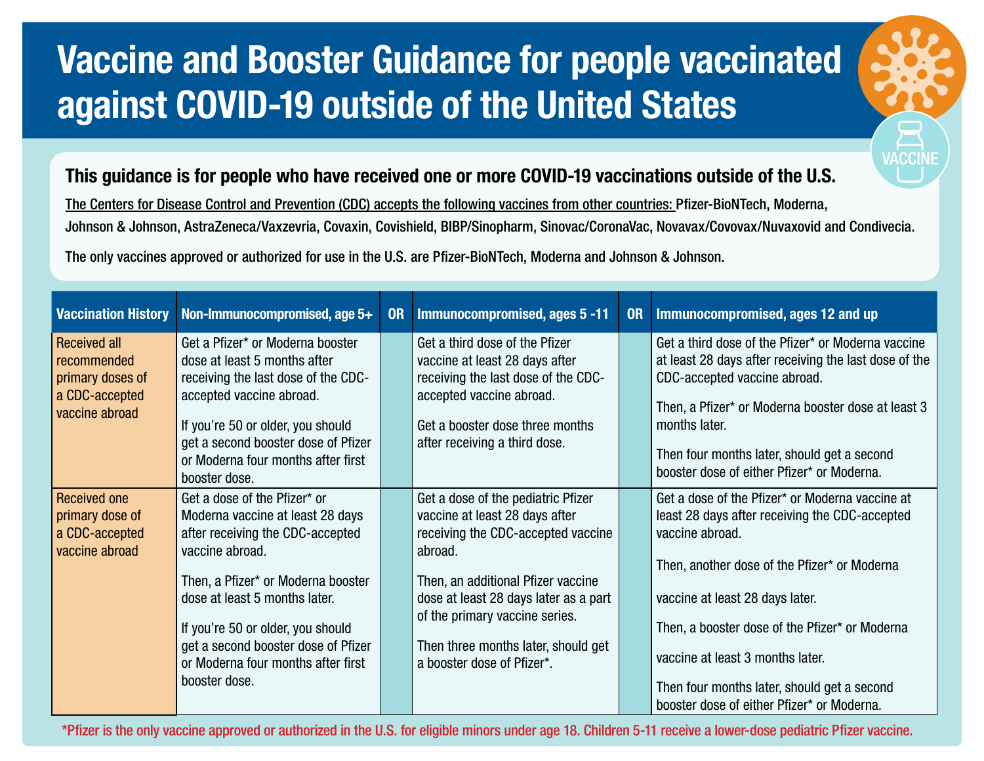## Vaccine and Booster Guidance for people vaccinated against COVID-19 outside of the United States

## This guidance is for people who have received one or more COVID-19 vaccinations outside of the U.S.

The Centers for Disease Control and Prevention (CDC) accepts the following vaccines from other countries: Pfizer-BioNTech, Moderna, Johnson & Johnson, AstraZeneca/Vaxzevria, Covaxin, Covishield, BIBP/Sinopharm, Sinovac/CoronaVac, Novavax/Covovax/Nuvaxovid and Condivecia. The only vaccines approved or authorized for use in the U.S. are Pfizer-BioNTech, Moderna and Johnson & Johnson.

| <b>Vaccination History</b>                                                                 | Non-Immunocompromised, age 5+                                                                                                                                                                                                                                                                                                     | <b>OR</b> | Immunocompromised, ages 5-11                                                                                                                                                                                                                                                                                | <b>OR</b> | Immunocompromised, ages 12 and up                                                                                                                                                                                                                                                                                                                                                          |
|--------------------------------------------------------------------------------------------|-----------------------------------------------------------------------------------------------------------------------------------------------------------------------------------------------------------------------------------------------------------------------------------------------------------------------------------|-----------|-------------------------------------------------------------------------------------------------------------------------------------------------------------------------------------------------------------------------------------------------------------------------------------------------------------|-----------|--------------------------------------------------------------------------------------------------------------------------------------------------------------------------------------------------------------------------------------------------------------------------------------------------------------------------------------------------------------------------------------------|
| <b>Received all</b><br>recommended<br>primary doses of<br>a CDC-accepted<br>vaccine abroad | Get a Pfizer* or Moderna booster<br>dose at least 5 months after<br>receiving the last dose of the CDC-<br>accepted vaccine abroad.<br>If you're 50 or older, you should<br>get a second booster dose of Pfizer<br>or Moderna four months after first<br>booster dose.                                                            |           | Get a third dose of the Pfizer<br>vaccine at least 28 days after<br>receiving the last dose of the CDC-<br>accepted vaccine abroad.<br>Get a booster dose three months<br>after receiving a third dose.                                                                                                     |           | Get a third dose of the Pfizer* or Moderna vaccine<br>at least 28 days after receiving the last dose of the<br>CDC-accepted vaccine abroad.<br>Then, a Pfizer* or Moderna booster dose at least 3<br>months later.<br>Then four months later, should get a second<br>booster dose of either Pfizer* or Moderna.                                                                            |
| Received one<br>primary dose of<br>a CDC-accepted<br>vaccine abroad                        | Get a dose of the Pfizer* or<br>Moderna vaccine at least 28 days<br>after receiving the CDC-accepted<br>vaccine abroad.<br>Then, a Pfizer* or Moderna booster<br>dose at least 5 months later.<br>If you're 50 or older, you should<br>get a second booster dose of Pfizer<br>or Moderna four months after first<br>booster dose. |           | Get a dose of the pediatric Pfizer<br>vaccine at least 28 days after<br>receiving the CDC-accepted vaccine<br>abroad.<br>Then, an additional Pfizer vaccine<br>dose at least 28 days later as a part<br>of the primary vaccine series.<br>Then three months later, should get<br>a booster dose of Pfizer*. |           | Get a dose of the Pfizer* or Moderna vaccine at<br>least 28 days after receiving the CDC-accepted<br>vaccine abroad.<br>Then, another dose of the Pfizer* or Moderna<br>vaccine at least 28 days later.<br>Then, a booster dose of the Pfizer* or Moderna<br>vaccine at least 3 months later.<br>Then four months later, should get a second<br>booster dose of either Pfizer* or Moderna. |

\*Pfizer is the only vaccine approved or authorized in the U.S. for eligible minors under age 18. Children 5-11 receive a lower-dose pediatric Pfizer vaccine.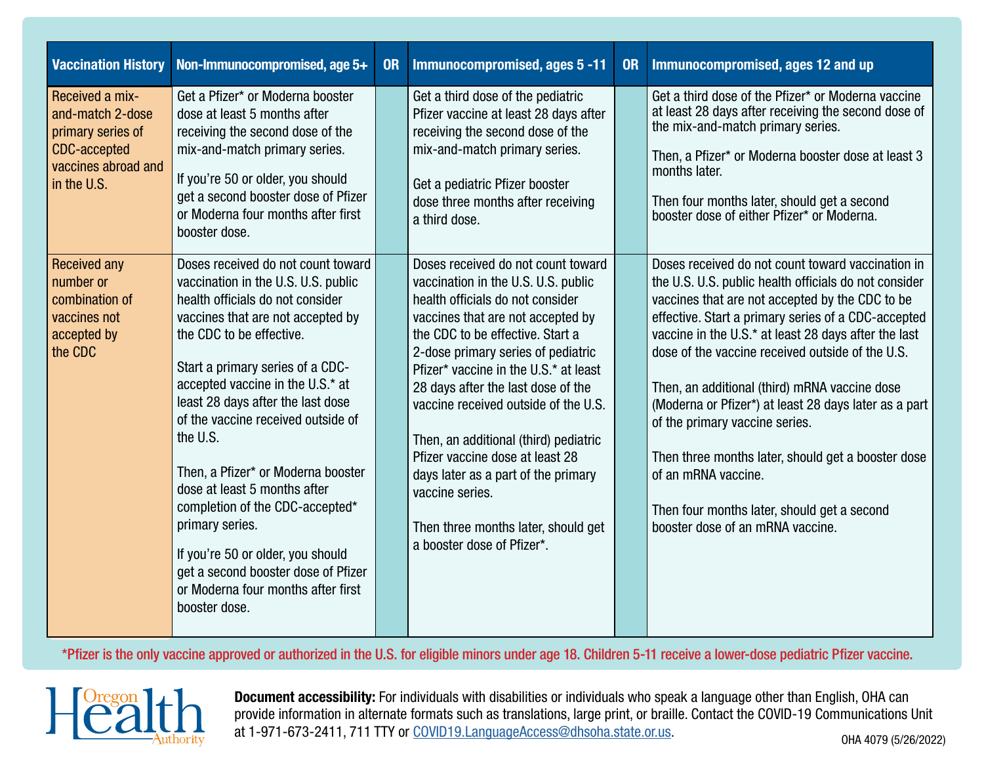| <b>Vaccination History</b>                                                                                            | Non-Immunocompromised, age 5+                                                                                                                                                                                                                                                                                                                                                                                                                                                                                                                                                                                | <b>OR</b> | Immunocompromised, ages 5 -11                                                                                                                                                                                                                                                                                                                                                                                                                                                                                                                                  | <b>OR</b> | Immunocompromised, ages 12 and up                                                                                                                                                                                                                                                                                                                                                                                                                                                                                                                                                                                                            |
|-----------------------------------------------------------------------------------------------------------------------|--------------------------------------------------------------------------------------------------------------------------------------------------------------------------------------------------------------------------------------------------------------------------------------------------------------------------------------------------------------------------------------------------------------------------------------------------------------------------------------------------------------------------------------------------------------------------------------------------------------|-----------|----------------------------------------------------------------------------------------------------------------------------------------------------------------------------------------------------------------------------------------------------------------------------------------------------------------------------------------------------------------------------------------------------------------------------------------------------------------------------------------------------------------------------------------------------------------|-----------|----------------------------------------------------------------------------------------------------------------------------------------------------------------------------------------------------------------------------------------------------------------------------------------------------------------------------------------------------------------------------------------------------------------------------------------------------------------------------------------------------------------------------------------------------------------------------------------------------------------------------------------------|
| Received a mix-<br>and-match 2-dose<br>primary series of<br><b>CDC-accepted</b><br>vaccines abroad and<br>in the U.S. | Get a Pfizer* or Moderna booster<br>dose at least 5 months after<br>receiving the second dose of the<br>mix-and-match primary series.<br>If you're 50 or older, you should<br>get a second booster dose of Pfizer<br>or Moderna four months after first<br>booster dose.                                                                                                                                                                                                                                                                                                                                     |           | Get a third dose of the pediatric<br>Pfizer vaccine at least 28 days after<br>receiving the second dose of the<br>mix-and-match primary series.<br>Get a pediatric Pfizer booster<br>dose three months after receiving<br>a third dose.                                                                                                                                                                                                                                                                                                                        |           | Get a third dose of the Pfizer* or Moderna vaccine<br>at least 28 days after receiving the second dose of<br>the mix-and-match primary series.<br>Then, a Pfizer* or Moderna booster dose at least 3<br>months later.<br>Then four months later, should get a second<br>booster dose of either Pfizer* or Moderna.                                                                                                                                                                                                                                                                                                                           |
| <b>Received any</b><br>number or<br>combination of<br>vaccines not<br>accepted by<br>the CDC                          | Doses received do not count toward<br>vaccination in the U.S. U.S. public<br>health officials do not consider<br>vaccines that are not accepted by<br>the CDC to be effective.<br>Start a primary series of a CDC-<br>accepted vaccine in the U.S.* at<br>least 28 days after the last dose<br>of the vaccine received outside of<br>the U.S.<br>Then, a Pfizer* or Moderna booster<br>dose at least 5 months after<br>completion of the CDC-accepted*<br>primary series.<br>If you're 50 or older, you should<br>get a second booster dose of Pfizer<br>or Moderna four months after first<br>booster dose. |           | Doses received do not count toward<br>vaccination in the U.S. U.S. public<br>health officials do not consider<br>vaccines that are not accepted by<br>the CDC to be effective. Start a<br>2-dose primary series of pediatric<br>Pfizer* vaccine in the U.S.* at least<br>28 days after the last dose of the<br>vaccine received outside of the U.S.<br>Then, an additional (third) pediatric<br>Pfizer vaccine dose at least 28<br>days later as a part of the primary<br>vaccine series.<br>Then three months later, should get<br>a booster dose of Pfizer*. |           | Doses received do not count toward vaccination in<br>the U.S. U.S. public health officials do not consider<br>vaccines that are not accepted by the CDC to be<br>effective. Start a primary series of a CDC-accepted<br>vaccine in the U.S.* at least 28 days after the last<br>dose of the vaccine received outside of the U.S.<br>Then, an additional (third) mRNA vaccine dose<br>(Moderna or Pfizer*) at least 28 days later as a part<br>of the primary vaccine series.<br>Then three months later, should get a booster dose<br>of an mRNA vaccine.<br>Then four months later, should get a second<br>booster dose of an mRNA vaccine. |

\*Pfizer is the only vaccine approved or authorized in the U.S. for eligible minors under age 18. Children 5-11 receive a lower-dose pediatric Pfizer vaccine.



Document accessibility: For individuals with disabilities or individuals who speak a language other than English, OHA can provide information in alternate formats such as translations, large print, or braille. Contact the COVID-19 Communications Unit at 1-971-673-2411, 711 TTY or [COVID19.LanguageAccess@dhsoha.state.or.us](mailto:COVID19.LanguageAccess%40dhsoha.state.or.us?subject=). 0HA 4079 (5/26/2022)